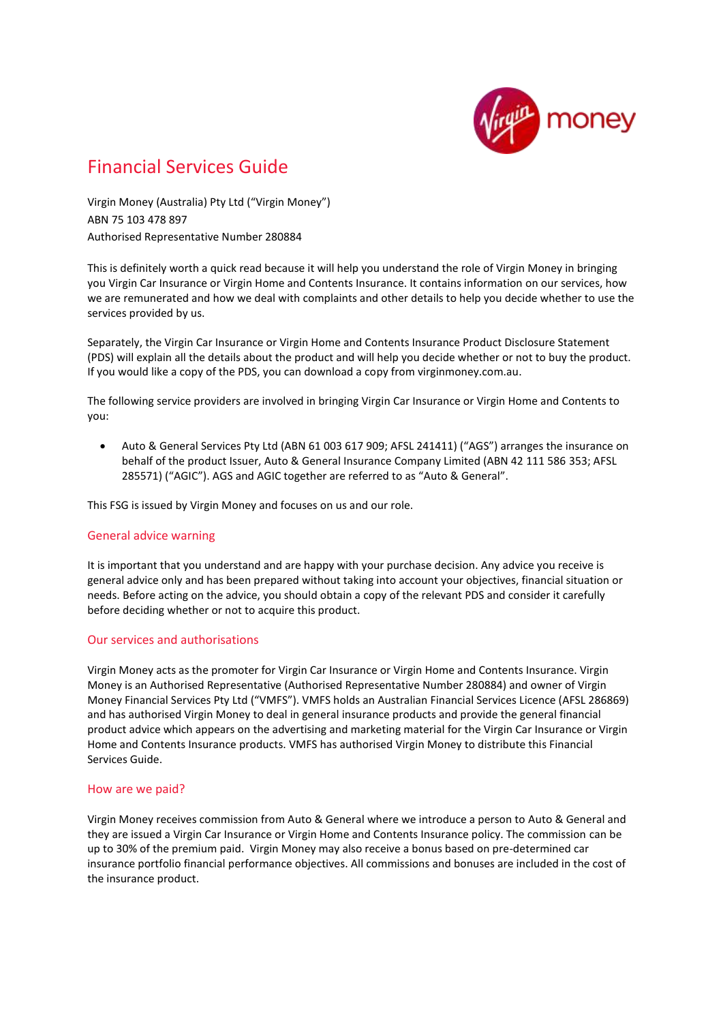

# Financial Services Guide

Virgin Money (Australia) Pty Ltd ("Virgin Money") ABN 75 103 478 897 Authorised Representative Number 280884

This is definitely worth a quick read because it will help you understand the role of Virgin Money in bringing you Virgin Car Insurance or Virgin Home and Contents Insurance. It contains information on our services, how we are remunerated and how we deal with complaints and other details to help you decide whether to use the services provided by us.

Separately, the Virgin Car Insurance or Virgin Home and Contents Insurance Product Disclosure Statement (PDS) will explain all the details about the product and will help you decide whether or not to buy the product. If you would like a copy of the PDS, you can download a copy from virginmoney.com.au.

The following service providers are involved in bringing Virgin Car Insurance or Virgin Home and Contents to you:

 Auto & General Services Pty Ltd (ABN 61 003 617 909; AFSL 241411) ("AGS") arranges the insurance on behalf of the product Issuer, Auto & General Insurance Company Limited (ABN 42 111 586 353; AFSL 285571) ("AGIC"). AGS and AGIC together are referred to as "Auto & General".

This FSG is issued by Virgin Money and focuses on us and our role.

## General advice warning

It is important that you understand and are happy with your purchase decision. Any advice you receive is general advice only and has been prepared without taking into account your objectives, financial situation or needs. Before acting on the advice, you should obtain a copy of the relevant PDS and consider it carefully before deciding whether or not to acquire this product.

### Our services and authorisations

Virgin Money acts as the promoter for Virgin Car Insurance or Virgin Home and Contents Insurance. Virgin Money is an Authorised Representative (Authorised Representative Number 280884) and owner of Virgin Money Financial Services Pty Ltd ("VMFS"). VMFS holds an Australian Financial Services Licence (AFSL 286869) and has authorised Virgin Money to deal in general insurance products and provide the general financial product advice which appears on the advertising and marketing material for the Virgin Car Insurance or Virgin Home and Contents Insurance products. VMFS has authorised Virgin Money to distribute this Financial Services Guide.

### How are we paid?

Virgin Money receives commission from Auto & General where we introduce a person to Auto & General and they are issued a Virgin Car Insurance or Virgin Home and Contents Insurance policy. The commission can be up to 30% of the premium paid. Virgin Money may also receive a bonus based on pre-determined car insurance portfolio financial performance objectives. All commissions and bonuses are included in the cost of the insurance product.